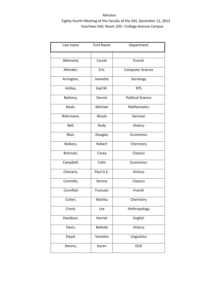| Last name  | <b>First Name</b> | Department               |
|------------|-------------------|--------------------------|
|            |                   |                          |
| Allamand,  | Carole            | French                   |
| Allender,  | Eric              | <b>Computer Science</b>  |
| Arrington, | Jeanette          | Sociology                |
| Ashley,    | Gail M.           | <b>EPS</b>               |
| Bathory,   | Dennis            | <b>Political Science</b> |
| Beals,     | Michael           | <b>Mathematics</b>       |
| Behrmann,  | Nicola            | German                   |
| Bell,      | Rudy              | History                  |
| Blair,     | Douglas           | Economics                |
| Boikess,   | Robert            | Chemistry                |
| Brennan,   | Corey             | Classics                 |
| Campbell,  | Colin             | Economics                |
| Clemens,   | Paul G.E.         | History                  |
| Connolly,  | Serena            | Classics                 |
| Cornilliat | Francois          | French                   |
| Cotter,    | Martha            | Chemistry                |
| Cronk,     | Lee               | Anthropology             |
| Davidson,  | Harriet           | English                  |
| Davis,     | Belinda           | History                  |
| Dayal,     | Veneeta           | Linguistics              |
| Dennis,    | Karen             | <b>OUE</b>               |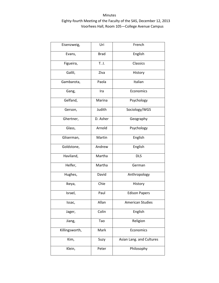| Eisenzweig,    | Uri         | French                   |
|----------------|-------------|--------------------------|
| Evans,         | <b>Brad</b> | English                  |
| Figueira,      | T. J.       | Classics                 |
| Galili,        | Ziva        | History                  |
| Gambarota,     | Paola       | Italian                  |
| Gang,          | Ira         | Economics                |
| Gelfand,       | Marina      | Psychology               |
| Gerson,        | Judith      | Sociology/WGS            |
| Ghertner,      | D. Asher    | Geography                |
| Glass,         | Arnold      | Psychology               |
| Gliserman,     | Martin      | English                  |
| Goldstone,     | Andrew      | English                  |
| Haviland,      | Martha      | <b>DLS</b>               |
| Helfer,        | Martha      | German                   |
| Hughes,        | David       | Anthropology             |
| Ikeya,         | Chie        | History                  |
| Israel,        | Paul        | <b>Edison Papers</b>     |
| Issac,         | Allan       | <b>American Studies</b>  |
| Jager,         | Colin       | English                  |
| Jiang,         | Tao         | Religion                 |
| Killingsworth, | Mark        | Economics                |
| Kim,           | Suzy        | Asian Lang. and Cultures |
| Klein,         | Peter       | Philosophy               |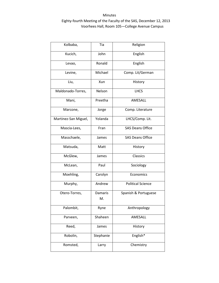| Kolbaba,             | Tia                  | Religion                 |
|----------------------|----------------------|--------------------------|
| Kucich,              | John                 | English                  |
| Levao,               | Ronald               | English                  |
| Levine,              | Michael              | Comp. Lit/German         |
| Liu,                 | Xun                  | History                  |
| Maldonado-Torres,    | Nelson               | <b>LHCS</b>              |
| Mani,                | Preetha              | AMESALL                  |
| Marcone,             | Jorge                | Comp. Literature         |
| Martinez-San Miguel, | Yolanda              | LHCS/Comp. Lit.          |
| Mascia-Lees,         | Fran                 | <b>SAS Deans Office</b>  |
| Masschaele,          | James                | <b>SAS Deans Office</b>  |
| Matsuda,             | Matt                 | History                  |
| McGlew,              | James                | Classics                 |
| McLean,              | Paul                 | Sociology                |
| Moehling,            | Carolyn              | Economics                |
| Murphy,              | Andrew               | <b>Political Science</b> |
| Otero-Torres,        | <b>Damaris</b><br>M. | Spanish & Portuguese     |
| Palombit,            | Ryne                 | Anthropology             |
| Parveen,             | Shaheen              | AMESALL                  |
| Reed,                | James                | History                  |
| Robolin,             | Stephanie            | English*                 |
| Romsted,             | Larry                | Chemistry                |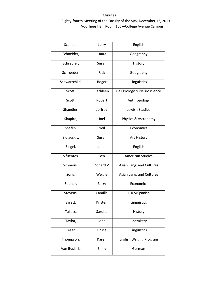| Scanlon,      | Larry        | English                        |
|---------------|--------------|--------------------------------|
| Schneider,    | Laura        | Geography                      |
| Schrepfer,    | Susan        | History                        |
| Schroeder,    | Rick         | Geography                      |
| Schwarzchild, | Roger        | Linguistics                    |
| Scott,        | Kathleen     | Cell Biology & Neuroscience    |
| Scott,        | Robert       | Anthropology                   |
| Shandler,     | Jeffrey      | Jewish Studies                 |
| Shapiro,      | Joel         | Physics & Astronomy            |
| Sheflin,      | Neil         | Economics                      |
| Sidlauskis,   | Susan        | Art History                    |
| Siegel,       | Jonah        | English                        |
| Sifuentes,    | Ben          | <b>American Studies</b>        |
| Simmons,      | Richard V.   | Asian Lang. and Cultures       |
| Song,         | Weigie       | Asian Lang. and Cultures       |
| Sopher,       | Barry        | Economics                      |
| Stevens,      | Camille      | LHCS/Spanish                   |
| Syrett,       | Kristen      | Linguistics                    |
| Takacs,       | Sarolta      | History                        |
| Taylor,       | John         | Chemistry                      |
| Tesar,        | <b>Bruce</b> | Linguistics                    |
| Thompson,     | Karen        | <b>English Writing Program</b> |
| Van Buskirk,  | Emily        | German                         |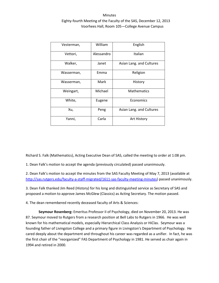| Vesterman, | William    | English                  |
|------------|------------|--------------------------|
| Vettori,   | Alessandro | Italian                  |
| Walker,    | Janet      | Asian Lang. and Cultures |
| Wasserman, | Emma       | Religion                 |
| Wasserman, | Mark       | History                  |
| Weingart,  | Michael    | <b>Mathematics</b>       |
| White,     | Eugene     | Economics                |
| Xu,        | Peng       | Asian Lang. and Cultures |
| Yanni,     | Carla      | Art History              |

Richard S. Falk (Mathematics), Acting Executive Dean of SAS, called the meeting to order at 1:08 pm.

1. Dean Falk's motion to accept the agenda (previously circulated) passed unanimously.

2. Dean Falk's motion to accept the minutes from the SAS Faculty Meeting of May 7, 2013 (available at [http://sas.rutgers.edu/faculty-a-staff-migrated/1611-sas-faculty-meeting-minutes\)](http://sas.rutgers.edu/faculty-a-staff-migrated/1611-sas-faculty-meeting-minutes) passed unanimously.

3. Dean Falk thanked Jim Reed (History) for his long and distinguished service as Secretary of SAS and proposed a motion to approve James McGlew (Classics) as Acting Secretary. The motion passed.

4. The dean remembered recently deceased faculty of Arts & Sciences:

**Seymour Rosenberg:** Emeritus Professor II of Psychology, died on November 20, 2013. He was 87. Seymour moved to Rutgers from a research position at Bell Labs to Rutgers in 1966. He was well known for his mathematical models, especially Hierarchical Class Analysis or HiClas. Seymour was a founding father of Livingston College and a primary figure in Livingston's Department of Psychology. He cared deeply about the department and throughout his career was regarded as a unifier. In fact, he was the first chair of the "reorganized" FAS Department of Psychology in 1981. He served as chair again in 1994 and retired in 2000.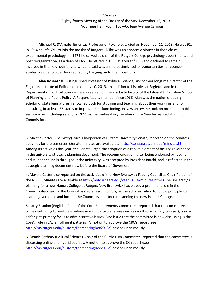**Michael R. D'Amato:** Emeritus Professor of Psychology, died on November 11, 2013. He was 91. In 1964 he left NYU to join the faculty of Rutgers. Mike was an academic pioneer in the field of experimental psychology. In 1975 he served as chair of the Rutgers College psychology department, and post reorganization, as a dean of FAS. He retired in 1990 at a youthful 68 and declined to remain involved in the field, pointing to what he said was an increasingly lack of opportunities for younger academics due to older tenured faculty hanging on to their positions!

**Alan Rosenthal:** Distinguished Professor of Political Science, and former longtime director of the Eagleton Institute of Politics, died on July 10, 2013. In addition to his roles at Eagleton and in the Department of Political Science, he also served on the graduate faculty of the Edward J. Bloustein School of Planning and Public Policy. A Rutgers faculty member since 1966, Alan was the nation's leading scholar of state legislatures, renowned both for studying and teaching about their workings and for consulting in at least 35 states to improve their functioning. In New Jersey, he took on prominent public service roles, including serving in 2011 as the tie-breaking member of the New Jersey Redistricting Commission.

3. Martha Cotter (Chemistry), Vice-Chairperson of Rutgers University Senate, reported on the senate's activities for the semester. (Senate minutes are available a[t http://senate.rutgers.edu/minutes.html.](http://senate.rutgers.edu/minutes.html)) Among its activities this year, the Senate urged the adoption of a robust element of faculty governance in the university strategic planning document. The recommendation, after being endorsed by faculty and student councils throughout the university, was accepted by President Barchi, and is reflected in the strategic planning document now before the Board of Governors.

4. Martha Cotter also reported on the activities of the New Brunswick Faculty Council as Chair Person of the NBFC. (Minutes are available at [http://nbfc.rutgers.edu/year13\\_14/minutes.html.](http://nbfc.rutgers.edu/year13_14/minutes.html)) The university's planning for a new Honors College at Rutgers New Brunswick has played a prominent role in the Council's discussions: the Council passed a resolution urging the administration to follow principles of shared governance and include the Council as a partner in planning the new Honors College.

5. Larry Scanlon (English), Chair of the Core Requirements Committee, reported that the committee, while continuing to seek new submissions in particular areas (such as multi-disciplinary courses), is now shifting its primary focus to administrative issues. One issue that the committee is now discussing is the Core's role in SAS enrollment patterns. A motion to approve the CRC's report (see [http://sas.rutgers.edu/custom/FacMeetingDec2013/\)](http://sas.rutgers.edu/custom/FacMeetingDec2013/) passed unanimously.

6. Dennis Bathory (Political Science), Chair of the Curriculum Committee, reported that the committee is discussing online and hybrid courses. A motion to approve the CC report (see [http://sas.rutgers.edu/custom/FacMeetingDec2013/\)](http://sas.rutgers.edu/custom/FacMeetingDec2013/) passed unanimously.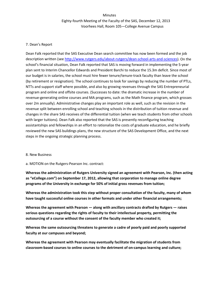### 7. Dean's Report

Dean Falk reported that the SAS Executive Dean search committee has now been formed and the job description written (see [http://www.rutgers.edu/about-rutgers/dean-school-arts-and-sciences\)](http://www.rutgers.edu/about-rutgers/dean-school-arts-and-sciences). On the school's financial situation, Dean Falk reported that SAS is moving forward in implementing the 5-year plan sent to Interim Chancellor Edwards and President Barchi to reduce the 15.3m deficit. Since most of our budget is in salaries, the school must hire fewer tenure/tenure-track faculty than leave the school (by retirement or resignation). The school continues to look for savings by reducing the number of PTLs, NTTs and support staff where possible, and also by growing revenues through the SAS Entrepreneurial program and online and offsite courses. (Successes to date: the dramatic increase in the number of revenue-generating online courses and MA programs, such as the Math finance program, which grosses over 2m annually). Administrative changes play an important role as well, such as the revision in the revenue split between enrolling school and teaching schools in the distribution of tuition revenue and changes in the share SAS receives of the differential tuition (when we teach students from other schools with larger tuitions). Dean Falk also reported that the SAS is presently reconfiguring teaching assistantships and fellowships in an effort to rationalize the costs of graduate education, and he briefly reviewed the new SAS buildings plans, the new structure of the SAS Development Office, and the next steps in the ongoing strategic planning process.

#### 8. New Business

#### a. MOTION on the Rutgers-Pearson Inc. contract:

**Whereas the administration of Rutgers University signed an agreement with Pearson, Inc. (then acting as "eCollege.com") on September 17, 2012, allowing that corporation to manage online degree programs of the University in exchange for 50% of initial gross revenues from tuition;** 

**Whereas the administration took this step without proper consultation of the faculty, many of whom have taught successful online courses in other formats and under other financial arrangements;** 

**Whereas the agreement with Pearson — along with ancillary contracts drafted by Rutgers — raises serious questions regarding the rights of faculty to their intellectual property, permitting the outsourcing of a course without the consent of the faculty member who created it;** 

**Whereas the same outsourcing threatens to generate a cadre of poorly paid and poorly supported faculty at our campuses and beyond;** 

**Whereas the agreement with Pearson may eventually facilitate the migration of students from classroom-based courses to online courses to the detriment of on-campus learning and culture;**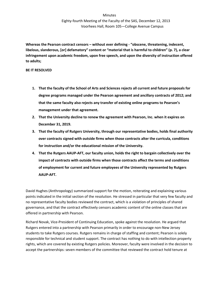**Whereas the Pearson contract censors – without ever defining - "obscene, threatening, indecent, libelous, slanderous, [or] defamatory" content or "material that is harmful to children" (p. 7), a clear infringement upon academic freedom, upon free speech, and upon the diversity of instruction offered to adults;** 

### **BE IT RESOLVED**

- **1. That the faculty of the School of Arts and Sciences rejects all current and future proposals for degree programs managed under the Pearson agreement and ancillary contracts of 2012; and that the same faculty also rejects any transfer of existing online programs to Pearson's management under that agreement.**
- **2. That the University decline to renew the agreement with Pearson, Inc. when it expires on December 31, 2019.**
- **3. That the faculty of Rutgers University, through our representative bodies, holds final authority over contracts signed with outside firms when those contracts alter the curricula, conditions for instruction and/or the educational mission of the University.**
- **4. That the Rutgers AAUP-AFT, our faculty union, holds the right to bargain collectively over the impact of contracts with outside firms when those contracts affect the terms and conditions of employment for current and future employees of the University represented by Rutgers AAUP-AFT.**

David Hughes (Anthropology) summarized support for the motion, reiterating and explaining various points indicated in the initial section of the resolution. He stressed in particular that very few faculty and no representative faculty bodies reviewed the contract, which is a violation of principles of shared governance, and that the contract effectively censors academic content of the online classes that are offered in partnership with Pearson.

Richard Novak, Vice-President of Continuing Education, spoke against the resolution. He argued that Rutgers entered into a partnership with Pearson primarily in order to encourage non-New Jersey students to take Rutgers courses. Rutgers remains in charge of staffing and content; Pearson is solely responsible for technical and student support. The contract has nothing to do with intellection property rights, which are covered by existing Rutgers policies. Moreover, faculty were involved in the decision to accept the partnerships: seven members of the committee that reviewed the contract hold tenure at